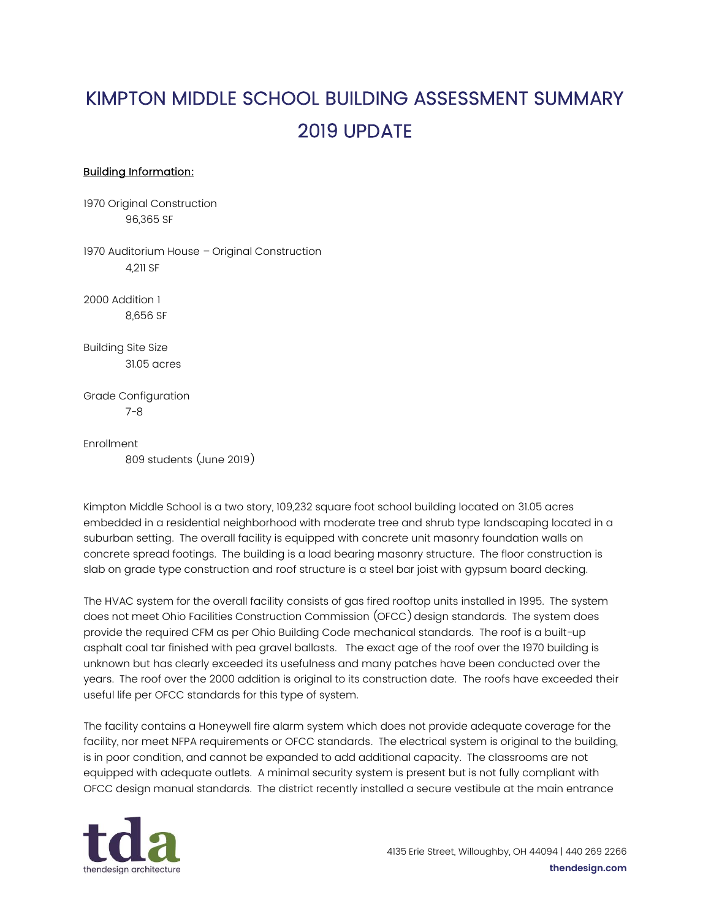## KIMPTON MIDDLE SCHOOL BUILDING ASSESSMENT SUMMARY 2019 UPDATE

## Building Information:

1970 Original Construction 96,365 SF

1970 Auditorium House – Original Construction 4,211 SF

2000 Addition 1 8,656 SF

Building Site Size 31.05 acres

Grade Configuration 7-8

Enrollment 809 students (June 2019)

Kimpton Middle School is a two story, 109,232 square foot school building located on 31.05 acres embedded in a residential neighborhood with moderate tree and shrub type landscaping located in a suburban setting. The overall facility is equipped with concrete unit masonry foundation walls on concrete spread footings. The building is a load bearing masonry structure. The floor construction is slab on grade type construction and roof structure is a steel bar joist with gypsum board decking.

The HVAC system for the overall facility consists of gas fired rooftop units installed in 1995. The system does not meet Ohio Facilities Construction Commission (OFCC) design standards. The system does provide the required CFM as per Ohio Building Code mechanical standards. The roof is a built-up asphalt coal tar finished with pea gravel ballasts. The exact age of the roof over the 1970 building is unknown but has clearly exceeded its usefulness and many patches have been conducted over the years. The roof over the 2000 addition is original to its construction date. The roofs have exceeded their useful life per OFCC standards for this type of system.

The facility contains a Honeywell fire alarm system which does not provide adequate coverage for the facility, nor meet NFPA requirements or OFCC standards. The electrical system is original to the building, is in poor condition, and cannot be expanded to add additional capacity. The classrooms are not equipped with adequate outlets. A minimal security system is present but is not fully compliant with OFCC design manual standards. The district recently installed a secure vestibule at the main entrance